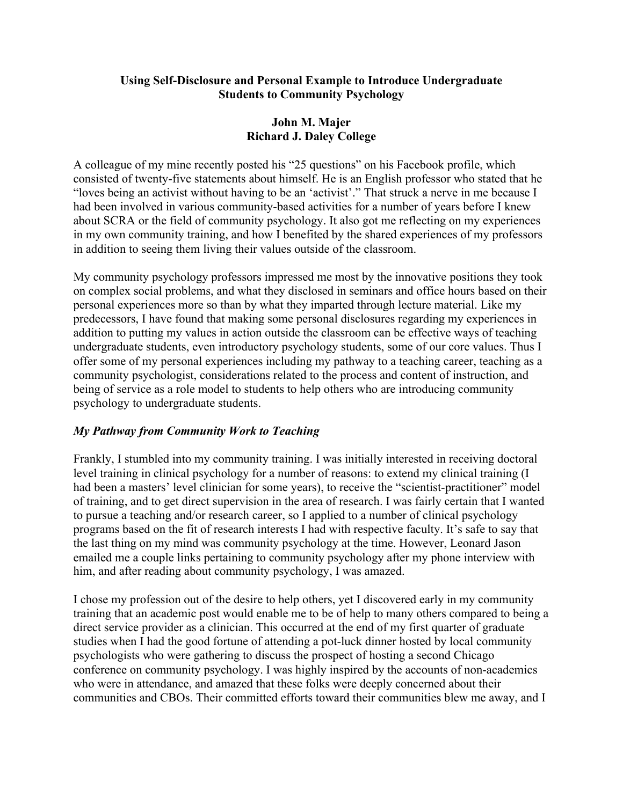### **Using Self-Disclosure and Personal Example to Introduce Undergraduate Students to Community Psychology**

## **John M. Majer Richard J. Daley College**

A colleague of my mine recently posted his "25 questions" on his Facebook profile, which consisted of twenty-five statements about himself. He is an English professor who stated that he "loves being an activist without having to be an 'activist'." That struck a nerve in me because I had been involved in various community-based activities for a number of years before I knew about SCRA or the field of community psychology. It also got me reflecting on my experiences in my own community training, and how I benefited by the shared experiences of my professors in addition to seeing them living their values outside of the classroom.

My community psychology professors impressed me most by the innovative positions they took on complex social problems, and what they disclosed in seminars and office hours based on their personal experiences more so than by what they imparted through lecture material. Like my predecessors, I have found that making some personal disclosures regarding my experiences in addition to putting my values in action outside the classroom can be effective ways of teaching undergraduate students, even introductory psychology students, some of our core values. Thus I offer some of my personal experiences including my pathway to a teaching career, teaching as a community psychologist, considerations related to the process and content of instruction, and being of service as a role model to students to help others who are introducing community psychology to undergraduate students.

# *My Pathway from Community Work to Teaching*

Frankly, I stumbled into my community training. I was initially interested in receiving doctoral level training in clinical psychology for a number of reasons: to extend my clinical training (I had been a masters' level clinician for some years), to receive the "scientist-practitioner" model of training, and to get direct supervision in the area of research. I was fairly certain that I wanted to pursue a teaching and/or research career, so I applied to a number of clinical psychology programs based on the fit of research interests I had with respective faculty. It's safe to say that the last thing on my mind was community psychology at the time. However, Leonard Jason emailed me a couple links pertaining to community psychology after my phone interview with him, and after reading about community psychology, I was amazed.

I chose my profession out of the desire to help others, yet I discovered early in my community training that an academic post would enable me to be of help to many others compared to being a direct service provider as a clinician. This occurred at the end of my first quarter of graduate studies when I had the good fortune of attending a pot-luck dinner hosted by local community psychologists who were gathering to discuss the prospect of hosting a second Chicago conference on community psychology. I was highly inspired by the accounts of non-academics who were in attendance, and amazed that these folks were deeply concerned about their communities and CBOs. Their committed efforts toward their communities blew me away, and I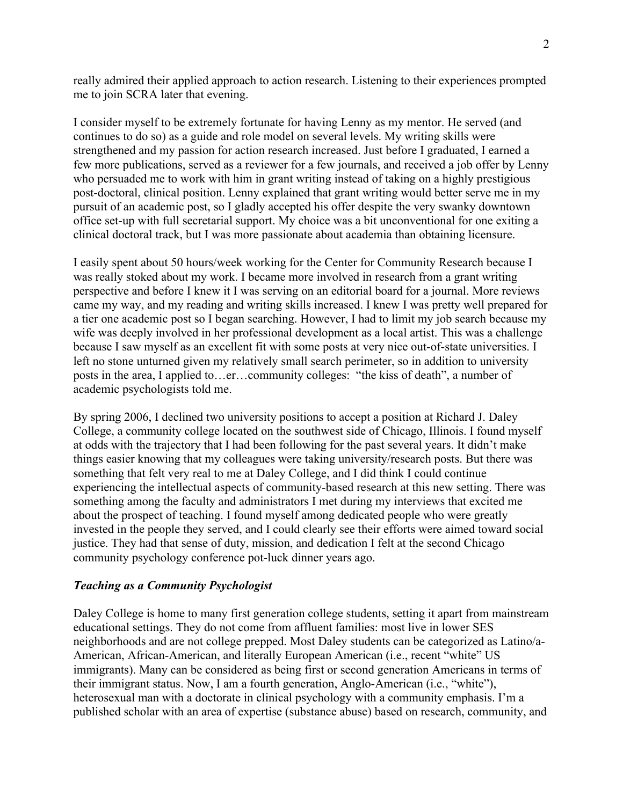really admired their applied approach to action research. Listening to their experiences prompted me to join SCRA later that evening.

I consider myself to be extremely fortunate for having Lenny as my mentor. He served (and continues to do so) as a guide and role model on several levels. My writing skills were strengthened and my passion for action research increased. Just before I graduated, I earned a few more publications, served as a reviewer for a few journals, and received a job offer by Lenny who persuaded me to work with him in grant writing instead of taking on a highly prestigious post-doctoral, clinical position. Lenny explained that grant writing would better serve me in my pursuit of an academic post, so I gladly accepted his offer despite the very swanky downtown office set-up with full secretarial support. My choice was a bit unconventional for one exiting a clinical doctoral track, but I was more passionate about academia than obtaining licensure.

I easily spent about 50 hours/week working for the Center for Community Research because I was really stoked about my work. I became more involved in research from a grant writing perspective and before I knew it I was serving on an editorial board for a journal. More reviews came my way, and my reading and writing skills increased. I knew I was pretty well prepared for a tier one academic post so I began searching. However, I had to limit my job search because my wife was deeply involved in her professional development as a local artist. This was a challenge because I saw myself as an excellent fit with some posts at very nice out-of-state universities. I left no stone unturned given my relatively small search perimeter, so in addition to university posts in the area, I applied to…er…community colleges: "the kiss of death", a number of academic psychologists told me.

By spring 2006, I declined two university positions to accept a position at Richard J. Daley College, a community college located on the southwest side of Chicago, Illinois. I found myself at odds with the trajectory that I had been following for the past several years. It didn't make things easier knowing that my colleagues were taking university/research posts. But there was something that felt very real to me at Daley College, and I did think I could continue experiencing the intellectual aspects of community-based research at this new setting. There was something among the faculty and administrators I met during my interviews that excited me about the prospect of teaching. I found myself among dedicated people who were greatly invested in the people they served, and I could clearly see their efforts were aimed toward social justice. They had that sense of duty, mission, and dedication I felt at the second Chicago community psychology conference pot-luck dinner years ago.

### *Teaching as a Community Psychologist*

Daley College is home to many first generation college students, setting it apart from mainstream educational settings. They do not come from affluent families: most live in lower SES neighborhoods and are not college prepped. Most Daley students can be categorized as Latino/a-American, African-American, and literally European American (i.e., recent "white" US immigrants). Many can be considered as being first or second generation Americans in terms of their immigrant status. Now, I am a fourth generation, Anglo-American (i.e., "white"), heterosexual man with a doctorate in clinical psychology with a community emphasis. I'm a published scholar with an area of expertise (substance abuse) based on research, community, and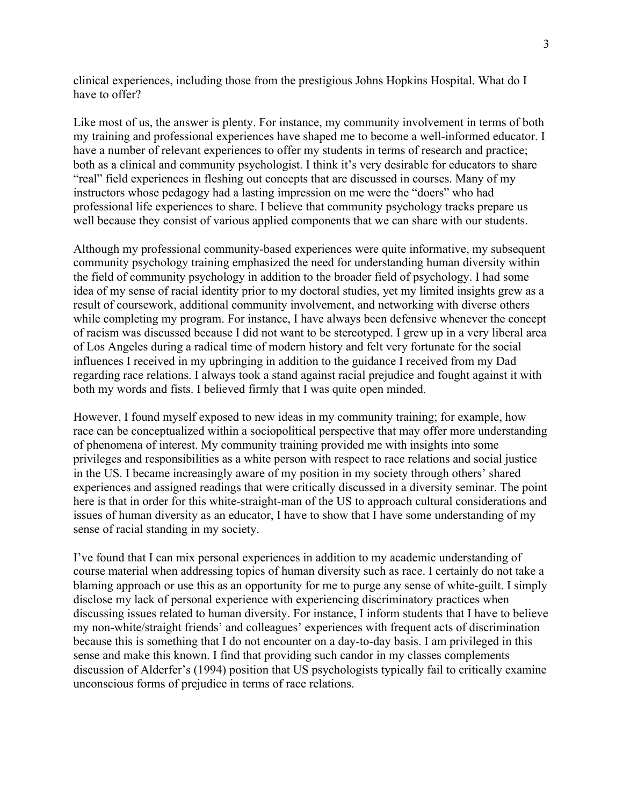clinical experiences, including those from the prestigious Johns Hopkins Hospital. What do I have to offer?

Like most of us, the answer is plenty. For instance, my community involvement in terms of both my training and professional experiences have shaped me to become a well-informed educator. I have a number of relevant experiences to offer my students in terms of research and practice; both as a clinical and community psychologist. I think it's very desirable for educators to share "real" field experiences in fleshing out concepts that are discussed in courses. Many of my instructors whose pedagogy had a lasting impression on me were the "doers" who had professional life experiences to share. I believe that community psychology tracks prepare us well because they consist of various applied components that we can share with our students.

Although my professional community-based experiences were quite informative, my subsequent community psychology training emphasized the need for understanding human diversity within the field of community psychology in addition to the broader field of psychology. I had some idea of my sense of racial identity prior to my doctoral studies, yet my limited insights grew as a result of coursework, additional community involvement, and networking with diverse others while completing my program. For instance, I have always been defensive whenever the concept of racism was discussed because I did not want to be stereotyped. I grew up in a very liberal area of Los Angeles during a radical time of modern history and felt very fortunate for the social influences I received in my upbringing in addition to the guidance I received from my Dad regarding race relations. I always took a stand against racial prejudice and fought against it with both my words and fists. I believed firmly that I was quite open minded.

However, I found myself exposed to new ideas in my community training; for example, how race can be conceptualized within a sociopolitical perspective that may offer more understanding of phenomena of interest. My community training provided me with insights into some privileges and responsibilities as a white person with respect to race relations and social justice in the US. I became increasingly aware of my position in my society through others' shared experiences and assigned readings that were critically discussed in a diversity seminar. The point here is that in order for this white-straight-man of the US to approach cultural considerations and issues of human diversity as an educator, I have to show that I have some understanding of my sense of racial standing in my society.

I've found that I can mix personal experiences in addition to my academic understanding of course material when addressing topics of human diversity such as race. I certainly do not take a blaming approach or use this as an opportunity for me to purge any sense of white-guilt. I simply disclose my lack of personal experience with experiencing discriminatory practices when discussing issues related to human diversity. For instance, I inform students that I have to believe my non-white/straight friends' and colleagues' experiences with frequent acts of discrimination because this is something that I do not encounter on a day-to-day basis. I am privileged in this sense and make this known. I find that providing such candor in my classes complements discussion of Alderfer's (1994) position that US psychologists typically fail to critically examine unconscious forms of prejudice in terms of race relations.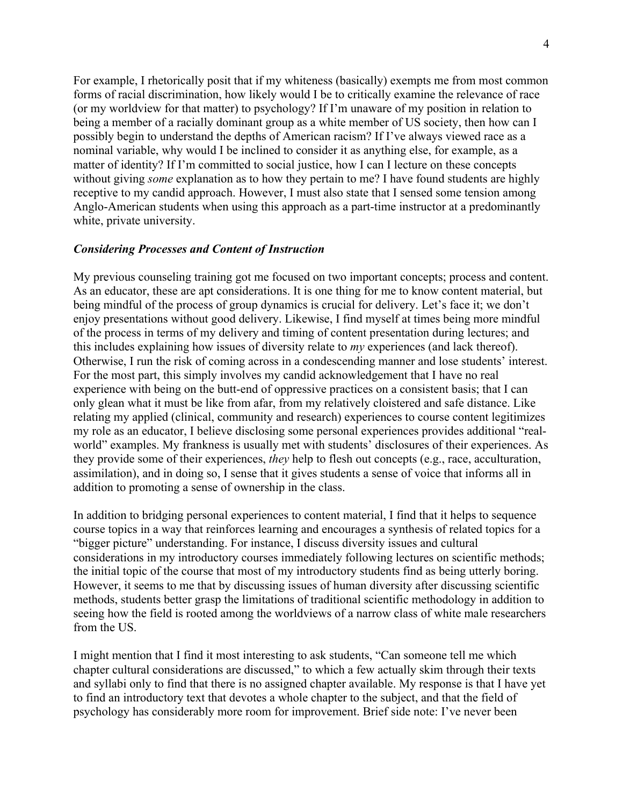For example, I rhetorically posit that if my whiteness (basically) exempts me from most common forms of racial discrimination, how likely would I be to critically examine the relevance of race (or my worldview for that matter) to psychology? If I'm unaware of my position in relation to being a member of a racially dominant group as a white member of US society, then how can I possibly begin to understand the depths of American racism? If I've always viewed race as a nominal variable, why would I be inclined to consider it as anything else, for example, as a matter of identity? If I'm committed to social justice, how I can I lecture on these concepts without giving *some* explanation as to how they pertain to me? I have found students are highly receptive to my candid approach. However, I must also state that I sensed some tension among Anglo-American students when using this approach as a part-time instructor at a predominantly white, private university.

#### *Considering Processes and Content of Instruction*

My previous counseling training got me focused on two important concepts; process and content. As an educator, these are apt considerations. It is one thing for me to know content material, but being mindful of the process of group dynamics is crucial for delivery. Let's face it; we don't enjoy presentations without good delivery. Likewise, I find myself at times being more mindful of the process in terms of my delivery and timing of content presentation during lectures; and this includes explaining how issues of diversity relate to *my* experiences (and lack thereof). Otherwise, I run the risk of coming across in a condescending manner and lose students' interest. For the most part, this simply involves my candid acknowledgement that I have no real experience with being on the butt-end of oppressive practices on a consistent basis; that I can only glean what it must be like from afar, from my relatively cloistered and safe distance. Like relating my applied (clinical, community and research) experiences to course content legitimizes my role as an educator, I believe disclosing some personal experiences provides additional "realworld" examples. My frankness is usually met with students' disclosures of their experiences. As they provide some of their experiences, *they* help to flesh out concepts (e.g., race, acculturation, assimilation), and in doing so, I sense that it gives students a sense of voice that informs all in addition to promoting a sense of ownership in the class.

In addition to bridging personal experiences to content material, I find that it helps to sequence course topics in a way that reinforces learning and encourages a synthesis of related topics for a "bigger picture" understanding. For instance, I discuss diversity issues and cultural considerations in my introductory courses immediately following lectures on scientific methods; the initial topic of the course that most of my introductory students find as being utterly boring. However, it seems to me that by discussing issues of human diversity after discussing scientific methods, students better grasp the limitations of traditional scientific methodology in addition to seeing how the field is rooted among the worldviews of a narrow class of white male researchers from the US.

I might mention that I find it most interesting to ask students, "Can someone tell me which chapter cultural considerations are discussed," to which a few actually skim through their texts and syllabi only to find that there is no assigned chapter available. My response is that I have yet to find an introductory text that devotes a whole chapter to the subject, and that the field of psychology has considerably more room for improvement. Brief side note: I've never been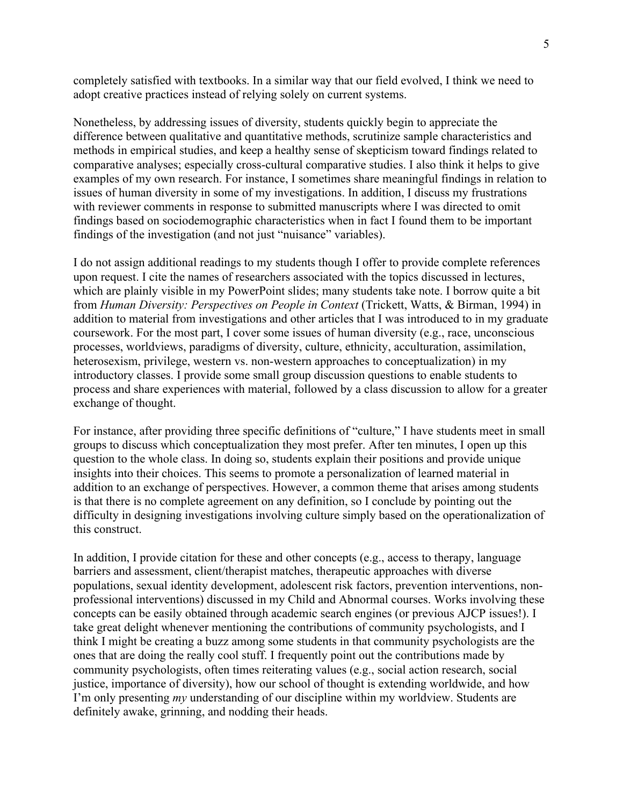completely satisfied with textbooks. In a similar way that our field evolved, I think we need to adopt creative practices instead of relying solely on current systems.

Nonetheless, by addressing issues of diversity, students quickly begin to appreciate the difference between qualitative and quantitative methods, scrutinize sample characteristics and methods in empirical studies, and keep a healthy sense of skepticism toward findings related to comparative analyses; especially cross-cultural comparative studies. I also think it helps to give examples of my own research. For instance, I sometimes share meaningful findings in relation to issues of human diversity in some of my investigations. In addition, I discuss my frustrations with reviewer comments in response to submitted manuscripts where I was directed to omit findings based on sociodemographic characteristics when in fact I found them to be important findings of the investigation (and not just "nuisance" variables).

I do not assign additional readings to my students though I offer to provide complete references upon request. I cite the names of researchers associated with the topics discussed in lectures, which are plainly visible in my PowerPoint slides; many students take note. I borrow quite a bit from *Human Diversity: Perspectives on People in Context* (Trickett, Watts, & Birman, 1994) in addition to material from investigations and other articles that I was introduced to in my graduate coursework. For the most part, I cover some issues of human diversity (e.g., race, unconscious processes, worldviews, paradigms of diversity, culture, ethnicity, acculturation, assimilation, heterosexism, privilege, western vs. non-western approaches to conceptualization) in my introductory classes. I provide some small group discussion questions to enable students to process and share experiences with material, followed by a class discussion to allow for a greater exchange of thought.

For instance, after providing three specific definitions of "culture," I have students meet in small groups to discuss which conceptualization they most prefer. After ten minutes, I open up this question to the whole class. In doing so, students explain their positions and provide unique insights into their choices. This seems to promote a personalization of learned material in addition to an exchange of perspectives. However, a common theme that arises among students is that there is no complete agreement on any definition, so I conclude by pointing out the difficulty in designing investigations involving culture simply based on the operationalization of this construct.

In addition, I provide citation for these and other concepts (e.g., access to therapy, language barriers and assessment, client/therapist matches, therapeutic approaches with diverse populations, sexual identity development, adolescent risk factors, prevention interventions, nonprofessional interventions) discussed in my Child and Abnormal courses. Works involving these concepts can be easily obtained through academic search engines (or previous AJCP issues!). I take great delight whenever mentioning the contributions of community psychologists, and I think I might be creating a buzz among some students in that community psychologists are the ones that are doing the really cool stuff. I frequently point out the contributions made by community psychologists, often times reiterating values (e.g., social action research, social justice, importance of diversity), how our school of thought is extending worldwide, and how I'm only presenting *my* understanding of our discipline within my worldview. Students are definitely awake, grinning, and nodding their heads.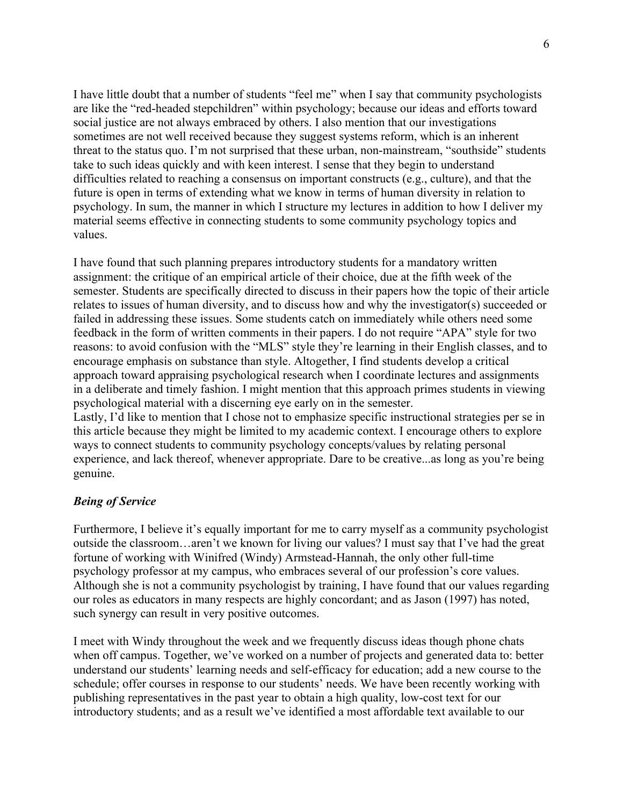I have little doubt that a number of students "feel me" when I say that community psychologists are like the "red-headed stepchildren" within psychology; because our ideas and efforts toward social justice are not always embraced by others. I also mention that our investigations sometimes are not well received because they suggest systems reform, which is an inherent threat to the status quo. I'm not surprised that these urban, non-mainstream, "southside" students take to such ideas quickly and with keen interest. I sense that they begin to understand difficulties related to reaching a consensus on important constructs (e.g., culture), and that the future is open in terms of extending what we know in terms of human diversity in relation to psychology. In sum, the manner in which I structure my lectures in addition to how I deliver my material seems effective in connecting students to some community psychology topics and values.

I have found that such planning prepares introductory students for a mandatory written assignment: the critique of an empirical article of their choice, due at the fifth week of the semester. Students are specifically directed to discuss in their papers how the topic of their article relates to issues of human diversity, and to discuss how and why the investigator(s) succeeded or failed in addressing these issues. Some students catch on immediately while others need some feedback in the form of written comments in their papers. I do not require "APA" style for two reasons: to avoid confusion with the "MLS" style they're learning in their English classes, and to encourage emphasis on substance than style. Altogether, I find students develop a critical approach toward appraising psychological research when I coordinate lectures and assignments in a deliberate and timely fashion. I might mention that this approach primes students in viewing psychological material with a discerning eye early on in the semester.

Lastly, I'd like to mention that I chose not to emphasize specific instructional strategies per se in this article because they might be limited to my academic context. I encourage others to explore ways to connect students to community psychology concepts/values by relating personal experience, and lack thereof, whenever appropriate. Dare to be creative...as long as you're being genuine.

## *Being of Service*

Furthermore, I believe it's equally important for me to carry myself as a community psychologist outside the classroom…aren't we known for living our values? I must say that I've had the great fortune of working with Winifred (Windy) Armstead-Hannah, the only other full-time psychology professor at my campus, who embraces several of our profession's core values. Although she is not a community psychologist by training, I have found that our values regarding our roles as educators in many respects are highly concordant; and as Jason (1997) has noted, such synergy can result in very positive outcomes.

I meet with Windy throughout the week and we frequently discuss ideas though phone chats when off campus. Together, we've worked on a number of projects and generated data to: better understand our students' learning needs and self-efficacy for education; add a new course to the schedule; offer courses in response to our students' needs. We have been recently working with publishing representatives in the past year to obtain a high quality, low-cost text for our introductory students; and as a result we've identified a most affordable text available to our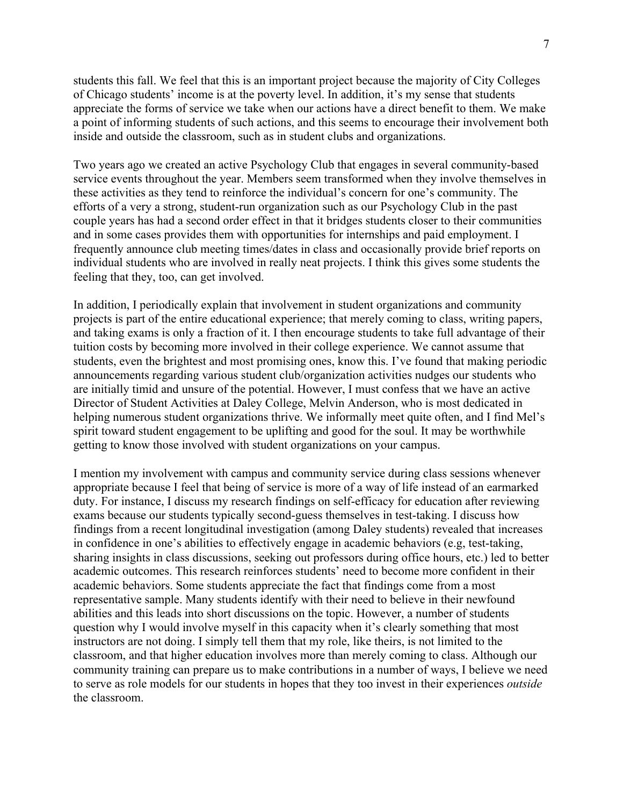students this fall. We feel that this is an important project because the majority of City Colleges of Chicago students' income is at the poverty level. In addition, it's my sense that students appreciate the forms of service we take when our actions have a direct benefit to them. We make a point of informing students of such actions, and this seems to encourage their involvement both inside and outside the classroom, such as in student clubs and organizations.

Two years ago we created an active Psychology Club that engages in several community-based service events throughout the year. Members seem transformed when they involve themselves in these activities as they tend to reinforce the individual's concern for one's community. The efforts of a very a strong, student-run organization such as our Psychology Club in the past couple years has had a second order effect in that it bridges students closer to their communities and in some cases provides them with opportunities for internships and paid employment. I frequently announce club meeting times/dates in class and occasionally provide brief reports on individual students who are involved in really neat projects. I think this gives some students the feeling that they, too, can get involved.

In addition, I periodically explain that involvement in student organizations and community projects is part of the entire educational experience; that merely coming to class, writing papers, and taking exams is only a fraction of it. I then encourage students to take full advantage of their tuition costs by becoming more involved in their college experience. We cannot assume that students, even the brightest and most promising ones, know this. I've found that making periodic announcements regarding various student club/organization activities nudges our students who are initially timid and unsure of the potential. However, I must confess that we have an active Director of Student Activities at Daley College, Melvin Anderson, who is most dedicated in helping numerous student organizations thrive. We informally meet quite often, and I find Mel's spirit toward student engagement to be uplifting and good for the soul. It may be worthwhile getting to know those involved with student organizations on your campus.

I mention my involvement with campus and community service during class sessions whenever appropriate because I feel that being of service is more of a way of life instead of an earmarked duty. For instance, I discuss my research findings on self-efficacy for education after reviewing exams because our students typically second-guess themselves in test-taking. I discuss how findings from a recent longitudinal investigation (among Daley students) revealed that increases in confidence in one's abilities to effectively engage in academic behaviors (e.g, test-taking, sharing insights in class discussions, seeking out professors during office hours, etc.) led to better academic outcomes. This research reinforces students' need to become more confident in their academic behaviors. Some students appreciate the fact that findings come from a most representative sample. Many students identify with their need to believe in their newfound abilities and this leads into short discussions on the topic. However, a number of students question why I would involve myself in this capacity when it's clearly something that most instructors are not doing. I simply tell them that my role, like theirs, is not limited to the classroom, and that higher education involves more than merely coming to class. Although our community training can prepare us to make contributions in a number of ways, I believe we need to serve as role models for our students in hopes that they too invest in their experiences *outside* the classroom.